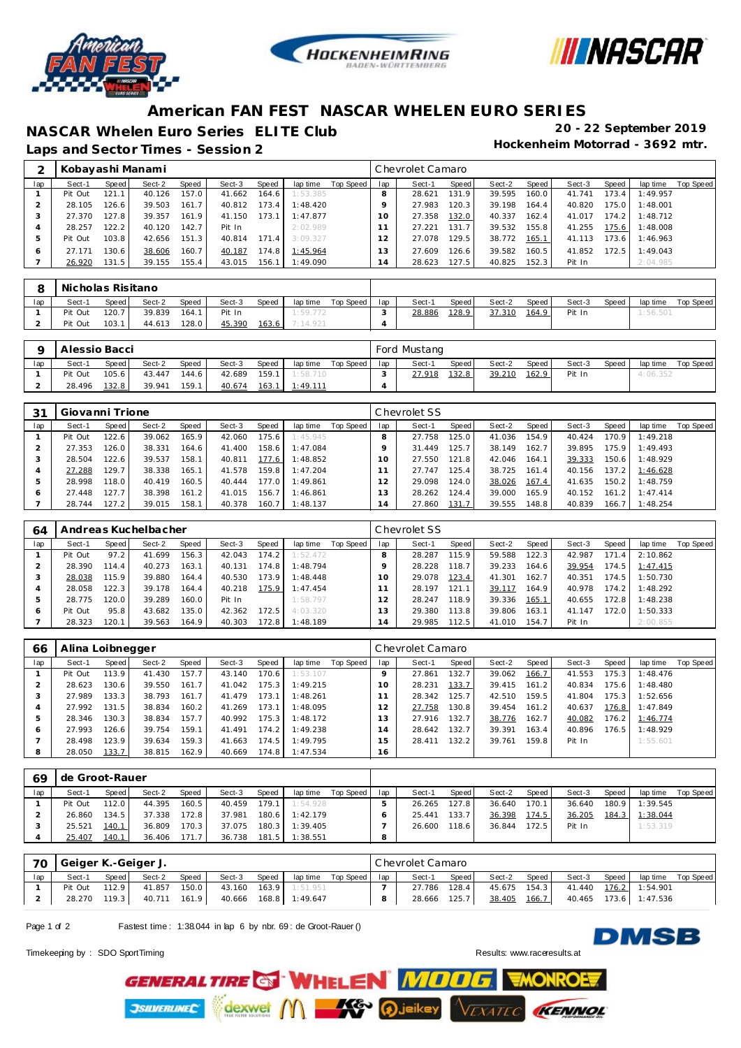





## **American FAN FEST NASCAR WHELEN EURO SERIES**

**NASCAR Whelen Euro Series ELITE Club 20 - 22 September 2019**

Laps and Sector Times - Session 2

|     | Kobayashi Manami |       |        |                    |        |       |          |           |     | Chevrolet Camaro |       |        |       |        |       |           |           |
|-----|------------------|-------|--------|--------------------|--------|-------|----------|-----------|-----|------------------|-------|--------|-------|--------|-------|-----------|-----------|
| lap | Sect-1           | Speed | Sect-2 | Speed              | Sect-3 | Speed | lap time | Top Speed | lap | Sect-1           | Speed | Sect-2 | Speed | Sect-3 | Speed | lap time  | Top Speed |
|     | Pit Out          | 121.1 | 40.126 | 157.0              | 41.662 | 164.6 | 1:53.385 |           | 8   | 28.621           | 131.9 | 39.595 | 160.0 | 41.741 | 173.4 | : 49.957  |           |
|     | 28.105           | 126.6 | 39.503 | 161.7              | 40.812 | 173.4 | 1:48.420 |           |     | 27.983           | 120.3 | 39.198 | 164.4 | 40.820 | 175.0 | 1:48.001  |           |
|     | 27.370           | 127.8 | 39.357 | 161.9 <sub>1</sub> | 41.150 | 173.1 | 1:47.877 |           |     | 27.358           | 132.0 | 40.337 | 162.4 | 41.017 | 174.2 | 1:48.712  |           |
| 4   | 28.257           | 122.2 | 40.120 | 142.7              | Pit In |       | 2:02.989 |           |     | 27.221           | 131.7 | 39.532 | 155.8 | 41.255 | 175.6 | 1:48.008  |           |
| 5   | Pit Out          | 103.8 | 42.656 | 151.3              | 40.814 | 171.4 | 3:09.327 |           |     | 27.078           | 129.5 | 38.772 | 165.1 | 41.113 | 173.6 | I: 46.963 |           |
| O   | 27.171           | 130.6 | 38.606 | 160.7              | 40.187 | 174.8 | 1:45.964 |           |     | 27.609           | 126.6 | 39.582 | 160.5 | 41.852 | 172.5 | : 49.043  |           |
|     | 26.920           | 131.5 | 39.155 | 155.4              | 43.015 | 156.1 | 1:49.090 |           | .4  | 28.623           | 127.5 | 40.825 | 152.3 | Pit In |       | 2:04.985  |           |

|     | Nicholas Risitano |       |        |       |        |       |          |             |     |        |       |        |         |        |       |          |           |
|-----|-------------------|-------|--------|-------|--------|-------|----------|-------------|-----|--------|-------|--------|---------|--------|-------|----------|-----------|
| lap | Sect-1            | Speed | Sect-2 | Speed | Sect-3 | Speed | lap time | Top Speed I | lap | Sect-1 | Speed | Sect-2 | Speed I | Sect-3 | Speed | lap time | Top Speed |
|     | Pit Out           | 120.7 | 39.839 | 164.1 | Pit In |       | 1:59.772 |             |     | 28.886 | 128.9 | 37.310 | 164.9   | Pit In |       | 1:56.501 |           |
|     | Pit Out           | 103.1 | 44.613 | 128.0 | 45.390 | 163.6 | 7:14.921 |             |     |        |       |        |         |        |       |          |           |

|     | Alessio Bacci |           |        |       |        |       |                 |           |     | Ford Mustang |       |        |       |        |       |          |           |
|-----|---------------|-----------|--------|-------|--------|-------|-----------------|-----------|-----|--------------|-------|--------|-------|--------|-------|----------|-----------|
| lap | Sect-1        | Speed     | Sect-2 | Speed | Sect-3 | Speed | lap time        | Top Speed | lap | Sect-1       | Speed | Sect-2 | Speed | Sect-3 | Speed | lap time | Top Speed |
|     | Pit Out       | $105.6$ 1 | 43.447 | 144.6 | 42.689 |       | 159.1 1:58.710  |           |     | 27.918       | 132.8 | 39.210 | 162.9 | Pit In |       | 4:06.352 |           |
|     | 28.496        | 132.8     | 39.941 | 159.1 | 40.674 | 163.1 | <u>1:49.111</u> |           |     |              |       |        |       |        |       |          |           |

| 31           | Giovanni Trione |       |        |       |        |       |          |           |     | Chevrolet SS |                    |        |       |        |       |          |           |
|--------------|-----------------|-------|--------|-------|--------|-------|----------|-----------|-----|--------------|--------------------|--------|-------|--------|-------|----------|-----------|
| lap          | Sect-1          | Speed | Sect-2 | Speed | Sect-3 | Speed | lap time | Top Speed | lap | Sect-1       | Speed              | Sect-2 | Speed | Sect-3 | Speed | lap time | Top Speed |
|              | Pit Out         | 122.6 | 39.062 | 165.9 | 42.060 | 175.6 | 1:45.945 |           |     | 27.758       | 125.0              | 41.036 | 154.9 | 40.424 | 170.9 | 1:49.218 |           |
|              | 27.353          | 126.0 | 38.331 | 164.6 | 41.400 | 158.6 | 1:47.084 |           |     | 31.449       | 125.7              | 38.149 | 162.7 | 39.895 | 175.9 | 1:49.493 |           |
|              | 28.504          | 122.6 | 39.537 | 158.1 | 40.811 | 177.6 | 1:48.852 |           |     | 27.550       | 121.8 <sub>1</sub> | 42.046 | 164.1 | 39.333 | 150.6 | 1:48.929 |           |
|              | 27.288          | 129.7 | 38.338 | 165.1 | 41.578 | 159.8 | 1:47.204 |           |     | 27.747       | 125.4              | 38.725 | 161.4 | 40.156 | 137.2 | 1:46.628 |           |
| b            | 28.998          | 118.0 | 40.419 | 160.5 | 40.444 | 177.0 | 1:49.861 |           |     | 29.098       | 124.0              | 38.026 | 167.4 | 41.635 | 150.2 | 1:48.759 |           |
| <sub>0</sub> | 27.448          | 127.7 | 38.398 | 161.2 | 41.015 | 156.7 | 1:46.861 |           | 3   | 28.262       | 124.4              | 39.000 | 165.9 | 40.152 | 161.2 | 1:47.414 |           |
|              | 28.744          | 127.2 | 39.015 | 158.1 | 40.378 | 160.7 | 1:48.137 |           | 14  | 27.860       | 131.7              | 39.555 | 148.8 | 40.839 | 166.7 | 1:48.254 |           |

| 64      |         |       | Andreas Kuchelbacher |       |        |       |          |           |     | Chevrolet SS |       |        |       |        |       |          |           |
|---------|---------|-------|----------------------|-------|--------|-------|----------|-----------|-----|--------------|-------|--------|-------|--------|-------|----------|-----------|
| lap     | Sect-1  | Speed | Sect-2               | Speed | Sect-3 | Speed | lap time | Top Speed | lap | Sect-1       | Speed | Sect-2 | Speed | Sect-3 | Speed | lap time | Top Speed |
|         | Pit Out | 97.2  | 41.699               | 156.3 | 42.043 | 174.2 | 1:52.472 |           |     | 28.287       | 115.9 | 59.588 | 122.3 | 42.987 | 171.  | 2:10.862 |           |
|         | 28.390  | 114.4 | 40.273               | 163.1 | 40.131 | 174.8 | 1:48.794 |           |     | 28.228       | 118.7 | 39.233 | 164.6 | 39.954 | 174.5 | 1:47.415 |           |
| - 2     | 28.038  | 115.9 | 39.880               | 164.4 | 40.530 | 173.9 | 1:48.448 |           |     | 29.078       | 123.4 | 41.301 | 162.7 | 40.351 | 174.5 | 1:50.730 |           |
|         | 28.058  | 122.3 | 39.178               | 164.4 | 40.218 | 175.9 | 1:47.454 |           |     | 28.197       | 121.1 | 39.117 | 164.9 | 40.978 | 174.2 | 1:48.292 |           |
| Þ       | 28.775  | 120.0 | 39.289               | 160.0 | Pit In |       | 1:58.797 |           |     | 28.247       | 118.9 | 39.336 | 165.1 | 40.655 | 172.8 | 1:48.238 |           |
| $\circ$ | Pit Out | 95.8  | 43.682               | 35.0  | 42.362 | 172.5 | 4:03.320 |           | 3   | 29.380       | 113.8 | 39.806 | 163.1 | 41.147 | 172.0 | 1:50.333 |           |
|         | 28.323  | 120.1 | 39.563               | 164.9 | 40.303 | 172.8 | 1:48.189 |           | 14  | 29.985       | 112.5 | 41.010 | 154.7 | Pit In |       | 2:00.855 |           |

| 66  | Alina Loibnegger |         |        |       |        |       |          |           |                | Chevrolet Camaro |       |        |                    |        |        |          |           |
|-----|------------------|---------|--------|-------|--------|-------|----------|-----------|----------------|------------------|-------|--------|--------------------|--------|--------|----------|-----------|
| lap | Sect-1           | Speed I | Sect-2 | Speed | Sect-3 | Speed | lap time | Top Speed | lap            | Sect-1           | Speed | Sect-2 | Speed              | Sect-3 | Speed  | lap time | Top Speed |
|     | Pit Out          | 113.9   | 41.430 | 157.7 | 43.140 | 170.6 | 1:53.107 |           |                | 27.861           | 132.7 | 39.062 | 166.7              | 41.553 | 175.3  | 1:48.476 |           |
|     | 28.623           | 130.6   | 39.550 | 161.7 | 41.042 | 175.3 | 1:49.215 |           | 10             | 28.231           | 133.7 | 39.415 | 161.2              | 40.834 | 175.61 | 1:48.480 |           |
| З   | 27.989           | 133.3   | 38.793 | 161.7 | 41.479 | 173.1 | 1:48.261 |           |                | 28.342           | 125.7 | 42.510 | 159.5              | 41.804 | 175.3  | 1:52.656 |           |
| 4   | 27.992           | 131.5   | 38.834 | 160.2 | 41.269 | 173.1 | 1:48.095 |           | 12             | 27.758           | 130.8 | 39.454 | 161.2              | 40.637 | 176.8  | 1:47.849 |           |
| ь   | 28.346           | 130.3   | 38.834 | 157.7 | 40.992 | 175.3 | 1:48.172 |           | 13             | 27.916           | 132.7 | 38.776 | 162.7              | 40.082 | 176.2  | 1:46.774 |           |
| 6   | 27.993           | 126.6   | 39.754 | 159.1 | 41.491 | 174.2 | 1:49.238 |           | $\overline{4}$ | 28.642           | 132.7 | 39.391 | 163.4 <sub>1</sub> | 40.896 | 176.5  | 1:48.929 |           |
|     | 28.498           | 123.9   | 39.634 | 159.3 | 41.663 | 174.5 | 1:49.795 |           | 5              | 28.411           | 132.2 | 39.761 | 159.8              | Pit In |        | 1:55.601 |           |
| 8   | 28.050           | 133.7   | 38.815 | 162.9 | 40.669 | 174.8 | 1:47.534 |           | 16             |                  |       |        |                    |        |        |          |           |

| 69  | l de Groot-Rauer |       |        |       |        |       |          |           |     |        |        |        |       |        |       |          |           |
|-----|------------------|-------|--------|-------|--------|-------|----------|-----------|-----|--------|--------|--------|-------|--------|-------|----------|-----------|
| lap | Sect-1           | Speed | Sect-2 | Speed | Sect-3 | Speed | lap time | Top Speed | lap | Sect-1 | Speed  | Sect-2 | Speed | Sect-3 | Speed | lap time | Top Speed |
|     | Pit Out          | 112.0 | 44.395 | 160.5 | 40.459 | 179.1 | 1:54.928 |           |     | 26.265 | 127.81 | 36.640 | 170.1 | 36.640 | 180.9 | 1:39.545 |           |
|     | 26.860           | 134.5 | 37.338 | 172.8 | 37.981 | 180.6 | 1:42.179 |           |     | 25.441 | 133.7  | 36.398 | 174.5 | 36.205 | 184.3 | 1:38.044 |           |
|     | 25.521           | 140.1 | 36.809 | 170.3 | 37.075 | 180.3 | 1:39.405 |           |     | 26.600 | 118.6  | 36.844 | 172.5 | Pit In |       | 1:53.319 |           |
|     | 25.407           | 140.1 | 36.406 | 171.7 | 36.738 | 181.5 | 1:38.551 |           |     |        |        |        |       |        |       |          |           |

| 70  | Geiger K.-Geiger J. |       |        |       |        |       |                |           |     | Chevrolet Camaro |       |              |       |        |       |                       |           |
|-----|---------------------|-------|--------|-------|--------|-------|----------------|-----------|-----|------------------|-------|--------------|-------|--------|-------|-----------------------|-----------|
| lap | Sect-1              | Speed | Sect-2 | Speed | Sect-3 | Speed | lap time       | Top Speed | lap | Sect-1           | Speed | Sect-2       | Speed | Sect-3 | Speed | lap time              | Top Speed |
|     | Pit Out             | 112.9 | 41.857 | 150.0 | 43.160 | 163.9 | 1:51.951       |           |     | 27.786           | 128.4 | 45.675 154.3 |       |        |       | 41.440 176.2 1:54.901 |           |
|     | 28.270              | 119.3 | 40.711 | 161.9 | 40.666 |       | 168.8 1:49.647 |           |     | 28.666           | 125.7 | 38.405       | 166.7 |        |       | 40.465 173.6 1:47.536 |           |

Page 1 of 2 Fastest time: 1:38.044 in lap 6 by nbr. 69: de Groot-Rauer ()

Timekeeping by : SDO SportTiming Result[s: www.raceresults.](www.raceresults.at)at

**DMSB**